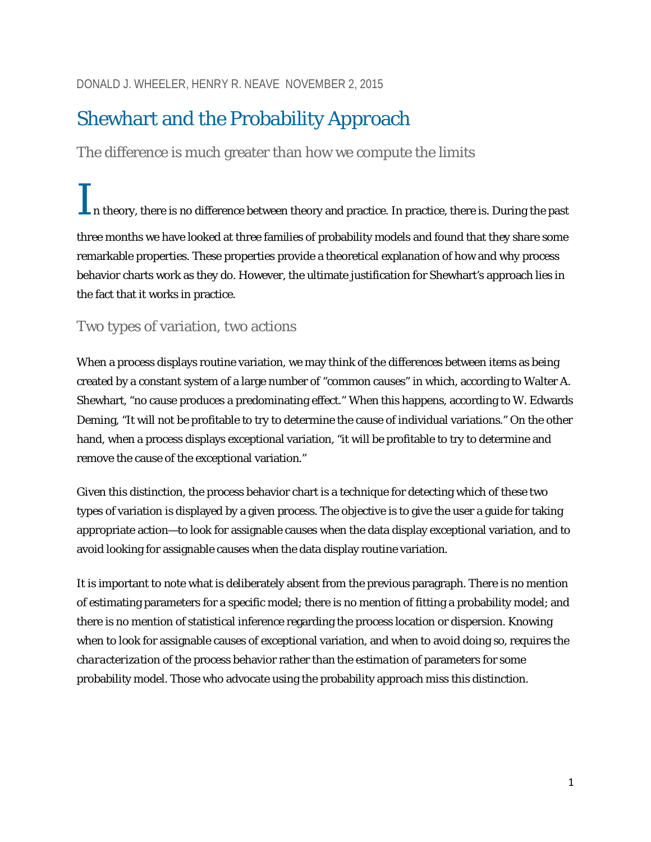# Shewhart and the Probability Approach

The difference is much greater than how we compute the limits

In theory, there is no difference between theory and practice. In practice, there is. During the past three months we have looked at three families of probability models and found that they share some remarkable properties. These properties provide a theoretical explanation of how and why process behavior charts work as they do. However, the ultimate justification for Shewhart's approach lies in the fact that it works in practice.

# Two types of variation, two actions

When a process displays routine variation, we may think of the differences between items as being created by a constant system of a large number of "common causes" in which, according to Walter A. Shewhart, "no cause produces a predominating effect." When this happens, according to W. Edwards Deming, "It will not be profitable to try to determine the cause of individual variations." On the other hand, when a process displays exceptional variation, "it will be profitable to try to determine and remove the cause of the exceptional variation."

Given this distinction, the process behavior chart is a technique for detecting which of these two types of variation is displayed by a given process. The objective is to give the user a guide for taking appropriate action—to look for assignable causes when the data display exceptional variation, and to avoid looking for assignable causes when the data display routine variation.

It is important to note what is deliberately absent from the previous paragraph. There is no mention of estimating parameters for a specific model; there is no mention of fitting a probability model; and there is no mention of statistical inference regarding the process location or dispersion. Knowing when to look for assignable causes of exceptional variation, and when to avoid doing so, requires the *characterization* of the process behavior rather than the *estimation* of parameters for some probability model. Those who advocate using the probability approach miss this distinction.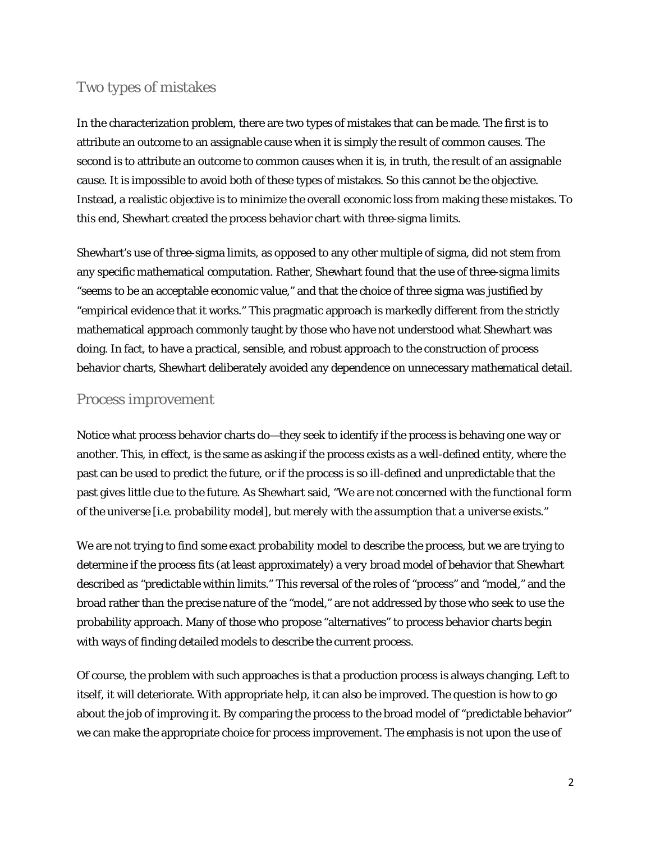# Two types of mistakes

In the characterization problem, there are two types of mistakes that can be made. The first is to attribute an outcome to an assignable cause when it is simply the result of common causes. The second is to attribute an outcome to common causes when it is, in truth, the result of an assignable cause. It is impossible to avoid both of these types of mistakes. So this cannot be the objective. Instead, a realistic objective is to minimize the overall economic loss from making these mistakes. To this end, Shewhart created the process behavior chart with three-sigma limits.

Shewhart's use of three-sigma limits, as opposed to any other multiple of sigma, did not stem from any specific mathematical computation. Rather, Shewhart found that the use of three-sigma limits "seems to be an acceptable economic value," and that the choice of three sigma was justified by "empirical evidence that it works." This pragmatic approach is markedly different from the strictly mathematical approach commonly taught by those who have not understood what Shewhart was doing. In fact, to have a practical, sensible, and robust approach to the construction of process behavior charts, Shewhart deliberately avoided any dependence on unnecessary mathematical detail.

## Process improvement

Notice what process behavior charts do—they seek to identify if the process is behaving one way or another. This, in effect, is the same as asking if the process exists as a well-defined entity, where the past can be used to predict the future, or if the process is so ill-defined and unpredictable that the past gives little clue to the future. As Shewhart said, "*We are not concerned with the functional form of the universe [i.e. probability model], but merely with the assumption that a universe exists.*"

We are not trying to find some *exact probability model* to describe the process, but we are trying to determine if the process fits (at least approximately) a *very broad model* of behavior that Shewhart described as "predictable within limits." This reversal of the roles of "process" and "model," and the broad rather than the precise nature of the "model," are not addressed by those who seek to use the probability approach. Many of those who propose "alternatives" to process behavior charts begin with ways of finding detailed models to describe the current process.

Of course, the problem with such approaches is that a production process is always changing. Left to itself, it will deteriorate. With appropriate help, it can also be improved. The question is how to go about the job of improving it. By comparing the process to the broad model of "predictable behavior" we can make the appropriate choice for process improvement. The emphasis is not upon the use of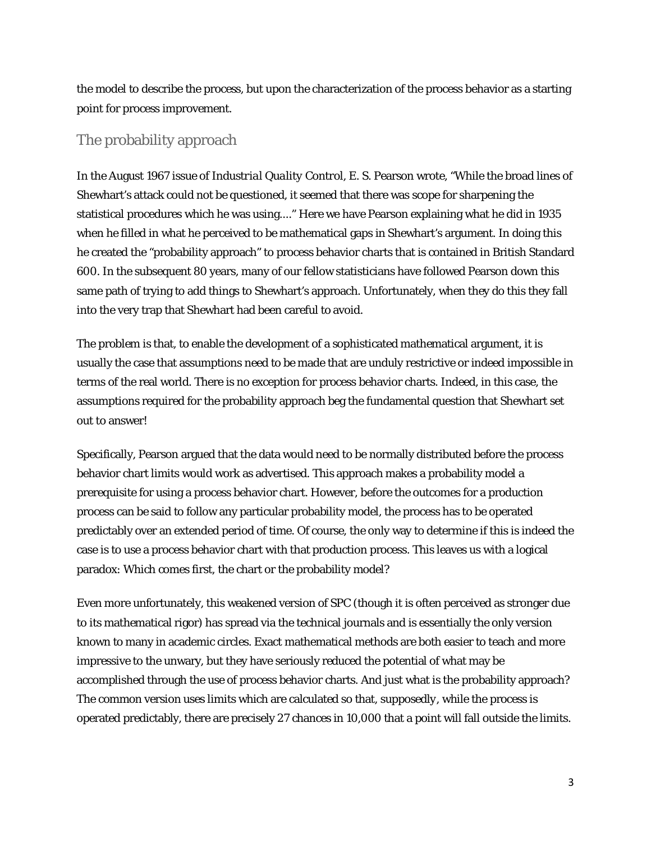the model to describe the process, but upon the characterization of the process behavior as a starting point for process improvement.

### The probability approach

In the August 1967 issue of *Industrial Quality Control,* E. S. Pearson wrote, "While the broad lines of Shewhart's attack could not be questioned, it seemed that there was scope for sharpening the statistical procedures which he was using...." Here we have Pearson explaining what he did in 1935 when he filled in what he perceived to be mathematical gaps in Shewhart's argument. In doing this he created the "probability approach" to process behavior charts that is contained in British Standard 600. In the subsequent 80 years, many of our fellow statisticians have followed Pearson down this same path of trying to add things to Shewhart's approach. Unfortunately, when they do this they fall into the very trap that Shewhart had been careful to avoid.

The problem is that, to enable the development of a sophisticated mathematical argument, it is usually the case that assumptions need to be made that are unduly restrictive or indeed impossible in terms of the real world. There is no exception for process behavior charts. Indeed, in this case, the assumptions required for the probability approach beg the fundamental question that Shewhart set out to answer!

Specifically, Pearson argued that the data would need to be normally distributed before the process behavior chart limits would work as advertised. This approach makes a probability model a prerequisite for using a process behavior chart. However, before the outcomes for a production process can be said to follow any particular probability model, the process has to be operated predictably over an extended period of time. Of course, the only way to determine if this is indeed the case is to use a process behavior chart with that production process. This leaves us with a logical paradox: Which comes first, the chart or the probability model?

Even more unfortunately, this weakened version of SPC (though it is often perceived as stronger due to its mathematical rigor) has spread via the technical journals and is essentially the only version known to many in academic circles. Exact mathematical methods are both easier to teach and more impressive to the unwary, but they have seriously reduced the potential of what may be accomplished through the use of process behavior charts. And just what is the probability approach? The common version uses limits which are calculated so that, *supposedly*, while the process is operated predictably, there are precisely 27 chances in 10,000 that a point will fall outside the limits.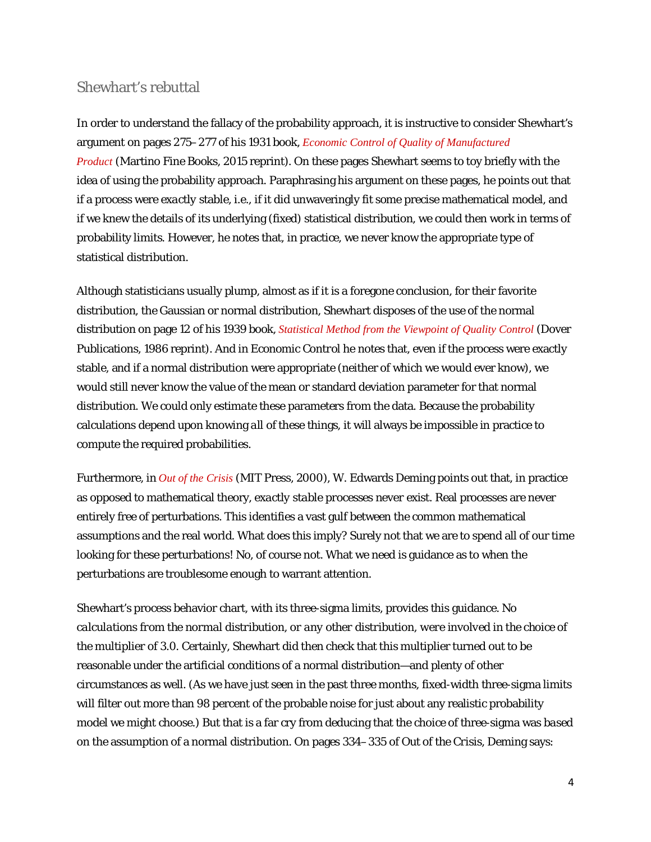# Shewhart's rebuttal

In order to understand the fallacy of the probability approach, it is instructive to consider Shewhart's argument on pages 275–277 of his 1931 book, *[Economic Control of Quality of Manufactured](http://www.amazon.com/Economic-Control-Quality-Manufactured-Product/dp/1614278113)  [Product](http://www.amazon.com/Economic-Control-Quality-Manufactured-Product/dp/1614278113)* (Martino Fine Books, 2015 reprint). On these pages Shewhart seems to toy briefly with the idea of using the probability approach. Paraphrasing his argument on these pages, he points out that *if* a process were *exactly* stable, i.e., if it did unwaveringly fit some precise mathematical model, and *if* we knew the details of its underlying (fixed) statistical distribution, we *could* then work in terms of probability limits. However, he notes that, in practice, we never know the appropriate type of statistical distribution.

Although statisticians usually plump, almost as if it is a foregone conclusion, for their favorite distribution, the Gaussian or normal distribution, Shewhart disposes of the use of the normal distribution on page 12 of his 1939 book, *[Statistical Method from the Viewpoint of Quality Control](http://www.amazon.com/Statistical-Viewpoint-Quality-Control-Mathematics/dp/0486652327)* (Dover Publications, 1986 reprint). And in *Economic Control* he notes that, even if the process were exactly stable, and if a normal distribution were appropriate (neither of which we would ever know), we would still never know the value of the mean or standard deviation parameter for that normal distribution. We could only *estimate* these parameters from the data. Because the probability calculations depend upon knowing *all* of these things, it will always be impossible in practice to compute the required probabilities.

Furthermore, in *[Out of the Crisis](http://www.amazon.com/Out-Crisis-W-Edwards-Deming/dp/0262541157/ref=sr_1_1?s=books&ie=UTF8&qid=1446066344&sr=1-1&keywords=W.+Edwards+Deming+Out+of+the+Crisis)* (MIT Press, 2000), W. Edwards Deming points out that, in practice as opposed to mathematical theory, *exactly stable processes never exist*. Real processes are never entirely free of perturbations. This identifies a vast gulf between the common mathematical assumptions and the real world. What does this imply? Surely not that we are to spend all of our time looking for these perturbations! No, of course not. What we need is guidance as to when the perturbations are troublesome enough to warrant attention.

Shewhart's process behavior chart, with its three-sigma limits, provides this guidance. *No calculations from the normal distribution, or any other distribution, were involved in the choice of the multiplier of 3.0*. Certainly, Shewhart did then check that this multiplier turned out to be reasonable under the artificial conditions of a normal distribution—and plenty of other circumstances as well. (As we have just seen in the past three months, fixed-width three-sigma limits will filter out more than 98 percent of the probable noise for just about any realistic probability model we might choose.) But that is a far cry from deducing that the choice of three-sigma was *based* on the assumption of a normal distribution. On pages 334–335 of *Out of the Crisis,* Deming says: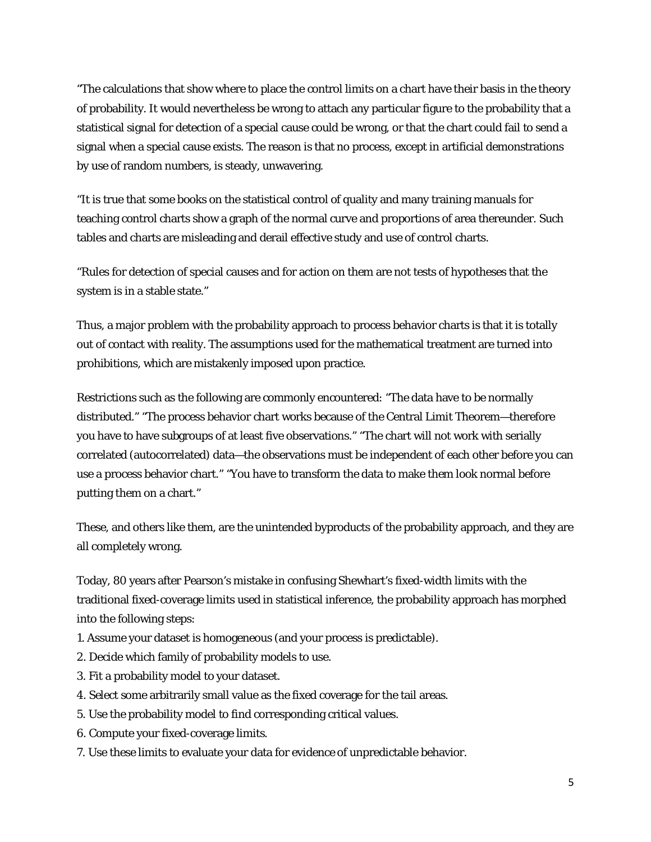"The calculations that show where to place the control limits on a chart have their basis in the theory of probability. It would nevertheless be wrong to attach any particular figure to the probability that a statistical signal for detection of a special cause could be wrong, or that the chart could fail to send a signal when a special cause exists. The reason is that no process, except in artificial demonstrations by use of random numbers, is steady, unwavering.

"It is true that some books on the statistical control of quality and many training manuals for teaching control charts show a graph of the normal curve and proportions of area thereunder. Such tables and charts are misleading and derail effective study and use of control charts.

"Rules for detection of special causes and for action on them are not tests of hypotheses that the system is in a stable state."

Thus, a major problem with the probability approach to process behavior charts is that it is totally out of contact with reality. The assumptions used for the mathematical treatment are turned into prohibitions, which are mistakenly imposed upon practice.

Restrictions such as the following are commonly encountered: "The data have to be normally distributed." "The process behavior chart works because of the Central Limit Theorem—therefore you have to have subgroups of at least five observations." "The chart will not work with serially correlated (autocorrelated) data—the observations must be independent of each other before you can use a process behavior chart." "You have to transform the data to make them look normal before putting them on a chart."

These, and others like them, are the unintended byproducts of the probability approach, and they are all completely wrong.

Today, 80 years after Pearson's mistake in confusing Shewhart's fixed-width limits with the traditional fixed-coverage limits used in statistical inference, the probability approach has morphed into the following steps:

- 1. Assume your dataset is homogeneous (and your process is predictable).
- 2. Decide which family of probability models to use.
- 3. Fit a probability model to your dataset.
- 4. Select some arbitrarily small value as the fixed coverage for the tail areas.
- 5. Use the probability model to find corresponding critical values.
- 6. Compute your fixed-coverage limits.
- 7. Use these limits to evaluate your data for evidence of unpredictable behavior.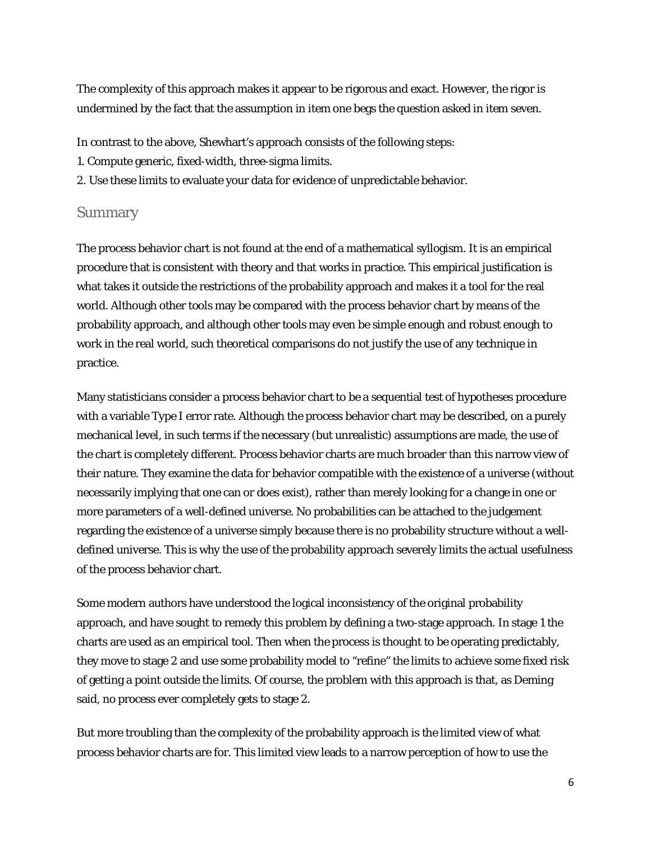The complexity of this approach makes it appear to be rigorous and exact. However, the rigor is undermined by the fact that the assumption in item one begs the question asked in item seven.

In contrast to the above, Shewhart's approach consists of the following steps:

- 1. Compute generic, fixed-width, three-sigma limits.
- 2. Use these limits to evaluate your data for evidence of unpredictable behavior.

#### Summary

The process behavior chart is not found at the end of a mathematical syllogism. It is an empirical procedure that is consistent with theory and that works in practice. This empirical justification is what takes it outside the restrictions of the probability approach and makes it a tool for the real world. Although other tools may be compared with the process behavior chart by means of the probability approach, and although other tools may even be simple enough and robust enough to work in the real world, such theoretical comparisons do not justify the use of any technique in practice.

Many statisticians consider a process behavior chart to be a sequential test of hypotheses procedure with a variable Type I error rate. Although the process behavior chart may be described, on a purely mechanical level, in such terms if the necessary (but unrealistic) assumptions are made, the use of the chart is completely different. Process behavior charts are much broader than this narrow view of their nature. They examine the data for behavior compatible with the *existence* of a universe (without necessarily implying that one can or does exist), rather than merely looking for a change in one or more parameters of a well-defined universe. No probabilities can be attached to the judgement regarding the existence of a universe simply because there is no probability structure without a welldefined universe. This is why the use of the probability approach severely limits the actual usefulness of the process behavior chart.

Some modern authors have understood the logical inconsistency of the original probability approach, and have sought to remedy this problem by defining a two-stage approach. In stage 1 the charts are used as an empirical tool. Then when the process is thought to be operating predictably, they move to stage 2 and use some probability model to "refine" the limits to achieve some fixed risk of getting a point outside the limits. Of course, the problem with this approach is that, as Deming said, no process ever completely gets to stage 2.

But more troubling than the complexity of the probability approach is the limited view of what process behavior charts are for. This limited view leads to a narrow perception of how to use the